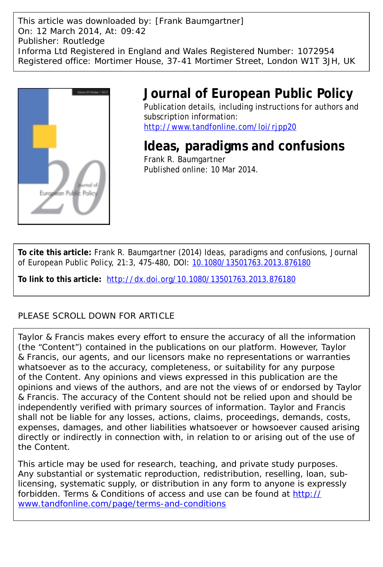This article was downloaded by: [Frank Baumgartner] On: 12 March 2014, At: 09:42 Publisher: Routledge Informa Ltd Registered in England and Wales Registered Number: 1072954 Registered office: Mortimer House, 37-41 Mortimer Street, London W1T 3JH, UK



## **Journal of European Public Policy**

Publication details, including instructions for authors and subscription information: <http://www.tandfonline.com/loi/rjpp20>

**Ideas, paradigms and confusions** Frank R. Baumgartner Published online: 10 Mar 2014.

**To cite this article:** Frank R. Baumgartner (2014) Ideas, paradigms and confusions, Journal of European Public Policy, 21:3, 475-480, DOI: [10.1080/13501763.2013.876180](http://www.tandfonline.com/action/showCitFormats?doi=10.1080/13501763.2013.876180)

**To link to this article:** <http://dx.doi.org/10.1080/13501763.2013.876180>

## PLEASE SCROLL DOWN FOR ARTICLE

Taylor & Francis makes every effort to ensure the accuracy of all the information (the "Content") contained in the publications on our platform. However, Taylor & Francis, our agents, and our licensors make no representations or warranties whatsoever as to the accuracy, completeness, or suitability for any purpose of the Content. Any opinions and views expressed in this publication are the opinions and views of the authors, and are not the views of or endorsed by Taylor & Francis. The accuracy of the Content should not be relied upon and should be independently verified with primary sources of information. Taylor and Francis shall not be liable for any losses, actions, claims, proceedings, demands, costs, expenses, damages, and other liabilities whatsoever or howsoever caused arising directly or indirectly in connection with, in relation to or arising out of the use of the Content.

This article may be used for research, teaching, and private study purposes. Any substantial or systematic reproduction, redistribution, reselling, loan, sublicensing, systematic supply, or distribution in any form to anyone is expressly forbidden. Terms & Conditions of access and use can be found at [http://](http://www.tandfonline.com/page/terms-and-conditions) [www.tandfonline.com/page/terms-and-conditions](http://www.tandfonline.com/page/terms-and-conditions)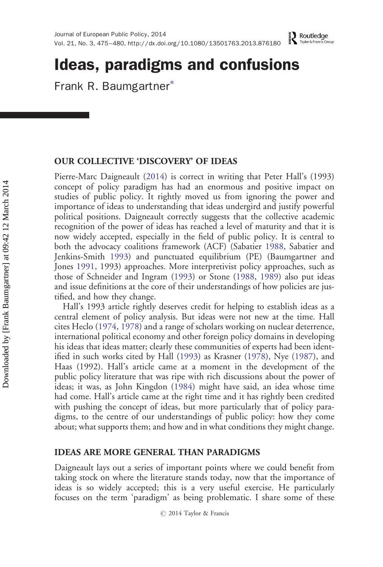# Ideas, paradigms and confusions

Frank R. Baumgartner<sup>∗</sup>

## OUR COLLECTIVE 'DISCOVERY' OF IDEAS

Pierre-Marc Daigneault [\(2014](#page-5-0)) is correct in writing that Peter Hall's (1993) concept of policy paradigm has had an enormous and positive impact on studies of public policy. It rightly moved us from ignoring the power and importance of ideas to understanding that ideas undergird and justify powerful political positions. Daigneault correctly suggests that the collective academic recognition of the power of ideas has reached a level of maturity and that it is now widely accepted, especially in the field of public policy. It is central to both the advocacy coalitions framework (ACF) (Sabatier [1988](#page-6-0), Sabatier and Jenkins-Smith [1993\)](#page-6-0) and punctuated equilibrium (PE) (Baumgartner and Jones [1991,](#page-5-0) 1993) approaches. More interpretivist policy approaches, such as those of Schneider and Ingram ([1993\)](#page-6-0) or Stone [\(1988](#page-6-0), [1989\)](#page-6-0) also put ideas and issue definitions at the core of their understandings of how policies are justified, and how they change.

Hall's 1993 article rightly deserves credit for helping to establish ideas as a central element of policy analysis. But ideas were not new at the time. Hall cites Heclo ([1974,](#page-6-0) [1978\)](#page-6-0) and a range of scholars working on nuclear deterrence, international political economy and other foreign policy domains in developing his ideas that ideas matter; clearly these communities of experts had been identified in such works cited by Hall [\(1993](#page-5-0)) as Krasner [\(1978](#page-6-0)), Nye [\(1987](#page-6-0)), and Haas (1992). Hall's article came at a moment in the development of the public policy literature that was ripe with rich discussions about the power of ideas; it was, as John Kingdon ([1984\)](#page-6-0) might have said, an idea whose time had come. Hall's article came at the right time and it has rightly been credited with pushing the concept of ideas, but more particularly that of policy paradigms, to the centre of our understandings of public policy: how they come about; what supports them; and how and in what conditions they might change.

## IDEAS ARE MORE GENERAL THAN PARADIGMS

Daigneault lays out a series of important points where we could benefit from taking stock on where the literature stands today, now that the importance of ideas is so widely accepted; this is a very useful exercise. He particularly focuses on the term 'paradigm' as being problematic. I share some of these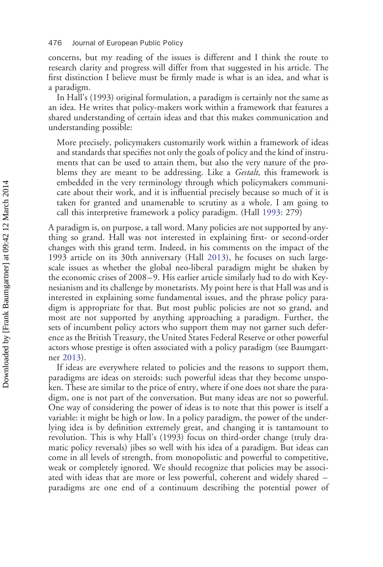concerns, but my reading of the issues is different and I think the route to research clarity and progress will differ from that suggested in his article. The first distinction I believe must be firmly made is what is an idea, and what is a paradigm.

In Hall's (1993) original formulation, a paradigm is certainly not the same as an idea. He writes that policy-makers work within a framework that features a shared understanding of certain ideas and that this makes communication and understanding possible:

More precisely, policymakers customarily work within a framework of ideas and standards that specifies not only the goals of policy and the kind of instruments that can be used to attain them, but also the very nature of the problems they are meant to be addressing. Like a *Gestalt*, this framework is embedded in the very terminology through which policymakers communicate about their work, and it is influential precisely because so much of it is taken for granted and unamenable to scrutiny as a whole. I am going to call this interpretive framework a policy paradigm. (Hall [1993:](#page-5-0) 279)

A paradigm is, on purpose, a tall word. Many policies are not supported by anything so grand. Hall was not interested in explaining first- or second-order changes with this grand term. Indeed, in his comments on the impact of the 1993 article on its 30th anniversary (Hall [2013\)](#page-5-0), he focuses on such largescale issues as whether the global neo-liberal paradigm might be shaken by the economic crises of 2008–9. His earlier article similarly had to do with Keynesianism and its challenge by monetarists. My point here is that Hall was and is interested in explaining some fundamental issues, and the phrase policy paradigm is appropriate for that. But most public policies are not so grand, and most are not supported by anything approaching a paradigm. Further, the sets of incumbent policy actors who support them may not garner such deference as the British Treasury, the United States Federal Reserve or other powerful actors whose prestige is often associated with a policy paradigm (see Baumgartner [2013](#page-5-0)).

If ideas are everywhere related to policies and the reasons to support them, paradigms are ideas on steroids: such powerful ideas that they become unspoken. These are similar to the price of entry, where if one does not share the paradigm, one is not part of the conversation. But many ideas are not so powerful. One way of considering the power of ideas is to note that this power is itself a variable: it might be high or low. In a policy paradigm, the power of the underlying idea is by definition extremely great, and changing it is tantamount to revolution. This is why Hall's (1993) focus on third-order change (truly dramatic policy reversals) jibes so well with his idea of a paradigm. But ideas can come in all levels of strength, from monopolistic and powerful to competitive, weak or completely ignored. We should recognize that policies may be associated with ideas that are more or less powerful, coherent and widely shared – paradigms are one end of a continuum describing the potential power of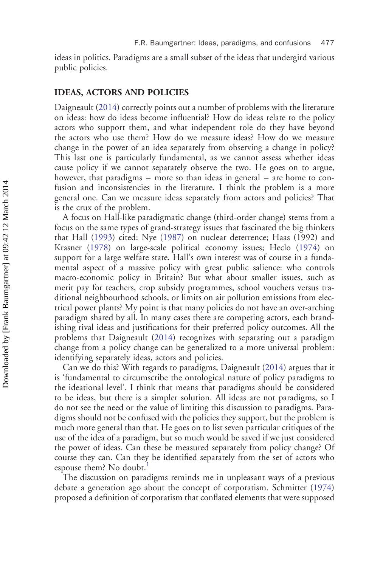ideas in politics. Paradigms are a small subset of the ideas that undergird various public policies.

#### IDEAS, ACTORS AND POLICIES

Daigneault [\(2014](#page-5-0)) correctly points out a number of problems with the literature on ideas: how do ideas become influential? How do ideas relate to the policy actors who support them, and what independent role do they have beyond the actors who use them? How do we measure ideas? How do we measure change in the power of an idea separately from observing a change in policy? This last one is particularly fundamental, as we cannot assess whether ideas cause policy if we cannot separately observe the two. He goes on to argue, however, that paradigms – more so than ideas in general – are home to confusion and inconsistencies in the literature. I think the problem is a more general one. Can we measure ideas separately from actors and policies? That is the crux of the problem.

A focus on Hall-like paradigmatic change (third-order change) stems from a focus on the same types of grand-strategy issues that fascinated the big thinkers that Hall ([1993\)](#page-5-0) cited: Nye [\(1987](#page-6-0)) on nuclear deterrence; Haas (1992) and Krasner ([1978\)](#page-6-0) on large-scale political economy issues; Heclo [\(1974](#page-6-0)) on support for a large welfare state. Hall's own interest was of course in a fundamental aspect of a massive policy with great public salience: who controls macro-economic policy in Britain? But what about smaller issues, such as merit pay for teachers, crop subsidy programmes, school vouchers versus traditional neighbourhood schools, or limits on air pollution emissions from electrical power plants? My point is that many policies do not have an over-arching paradigm shared by all. In many cases there are competing actors, each brandishing rival ideas and justifications for their preferred policy outcomes. All the problems that Daigneault [\(2014](#page-5-0)) recognizes with separating out a paradigm change from a policy change can be generalized to a more universal problem: identifying separately ideas, actors and policies.

Can we do this? With regards to paradigms, Daigneault ([2014\)](#page-5-0) argues that it is 'fundamental to circumscribe the ontological nature of policy paradigms to the ideational level'. I think that means that paradigms should be considered to be ideas, but there is a simpler solution. All ideas are not paradigms, so I do not see the need or the value of limiting this discussion to paradigms. Paradigms should not be confused with the policies they support, but the problem is much more general than that. He goes on to list seven particular critiques of the use of the idea of a paradigm, but so much would be saved if we just considered the power of ideas. Can these be measured separately from policy change? Of course they can. Can they be identified separately from the set of actors who espouse them? No doubt.<sup>[1](#page-5-0)</sup>

The discussion on paradigms reminds me in unpleasant ways of a previous debate a generation ago about the concept of corporatism. Schmitter ([1974\)](#page-6-0) proposed a definition of corporatism that conflated elements that were supposed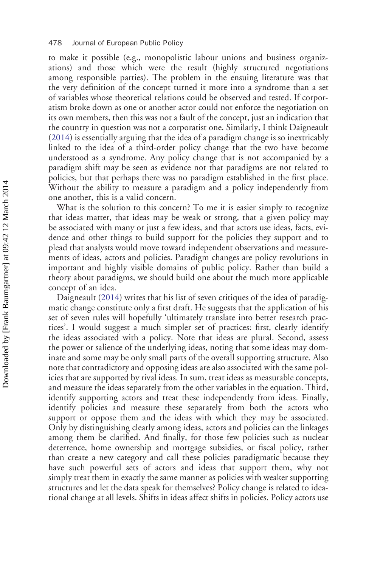to make it possible (e.g., monopolistic labour unions and business organizations) and those which were the result (highly structured negotiations among responsible parties). The problem in the ensuing literature was that the very definition of the concept turned it more into a syndrome than a set of variables whose theoretical relations could be observed and tested. If corporatism broke down as one or another actor could not enforce the negotiation on its own members, then this was not a fault of the concept, just an indication that the country in question was not a corporatist one. Similarly, I think Daigneault ([2014\)](#page-5-0) is essentially arguing that the idea of a paradigm change is so inextricably linked to the idea of a third-order policy change that the two have become understood as a syndrome. Any policy change that is not accompanied by a paradigm shift may be seen as evidence not that paradigms are not related to policies, but that perhaps there was no paradigm established in the first place. Without the ability to measure a paradigm and a policy independently from one another, this is a valid concern.

What is the solution to this concern? To me it is easier simply to recognize that ideas matter, that ideas may be weak or strong, that a given policy may be associated with many or just a few ideas, and that actors use ideas, facts, evidence and other things to build support for the policies they support and to plead that analysts would move toward independent observations and measurements of ideas, actors and policies. Paradigm changes are policy revolutions in important and highly visible domains of public policy. Rather than build a theory about paradigms, we should build one about the much more applicable concept of an idea.

Daigneault [\(2014](#page-5-0)) writes that his list of seven critiques of the idea of paradigmatic change constitute only a first draft. He suggests that the application of his set of seven rules will hopefully 'ultimately translate into better research practices'. I would suggest a much simpler set of practices: first, clearly identify the ideas associated with a policy. Note that ideas are plural. Second, assess the power or salience of the underlying ideas, noting that some ideas may dominate and some may be only small parts of the overall supporting structure. Also note that contradictory and opposing ideas are also associated with the same policies that are supported by rival ideas. In sum, treat ideas as measurable concepts, and measure the ideas separately from the other variables in the equation. Third, identify supporting actors and treat these independently from ideas. Finally, identify policies and measure these separately from both the actors who support or oppose them and the ideas with which they may be associated. Only by distinguishing clearly among ideas, actors and policies can the linkages among them be clarified. And finally, for those few policies such as nuclear deterrence, home ownership and mortgage subsidies, or fiscal policy, rather than create a new category and call these policies paradigmatic because they have such powerful sets of actors and ideas that support them, why not simply treat them in exactly the same manner as policies with weaker supporting structures and let the data speak for themselves? Policy change is related to ideational change at all levels. Shifts in ideas affect shifts in policies. Policy actors use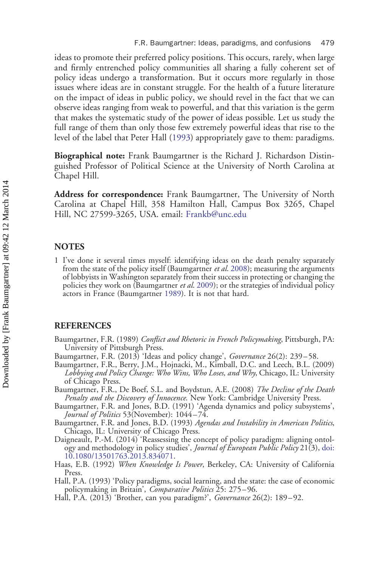<span id="page-5-0"></span>ideas to promote their preferred policy positions. This occurs, rarely, when large and firmly entrenched policy communities all sharing a fully coherent set of policy ideas undergo a transformation. But it occurs more regularly in those issues where ideas are in constant struggle. For the health of a future literature on the impact of ideas in public policy, we should revel in the fact that we can observe ideas ranging from weak to powerful, and that this variation is the germ that makes the systematic study of the power of ideas possible. Let us study the full range of them than only those few extremely powerful ideas that rise to the level of the label that Peter Hall (1993) appropriately gave to them: paradigms.

Biographical note: Frank Baumgartner is the Richard J. Richardson Distinguished Professor of Political Science at the University of North Carolina at Chapel Hill.

Address for correspondence: Frank Baumgartner, The University of North Carolina at Chapel Hill, 358 Hamilton Hall, Campus Box 3265, Chapel Hill, NC 27599-3265, USA. email: [Frankb@unc.edu](mailto:Frankb@unc.edu)

### **NOTES**

1 I've done it several times myself: identifying ideas on the death penalty separately from the state of the policy itself (Baumgartner *et al.* 2008); measuring the arguments of lobbyists in Washington separately from their success in protecting or changing the policies they work on (Baumgartner et al. 2009); or the strategies of individual policy actors in France (Baumgartner 1989). It is not that hard.

### **REFERENCES**

Baumgartner, F.R. (1989) Conflict and Rhetoric in French Policymaking, Pittsburgh, PA: University of Pittsburgh Press.

- Baumgartner, F.R. (2013) 'Ideas and policy change', *Governance* 26(2): 239–58.
- Baumgartner, F.R., Berry, J.M., Hojnacki, M., Kimball, D.C. and Leech, B.L. (2009) Lobbying and Policy Change: Who Wins, Who Loses, and Why, Chicago, IL: University of Chicago Press.
- Baumgartner, F.R., De Boef, S.L. and Boydstun, A.E. (2008) The Decline of the Death Penalty and the Discovery of Innocence. New York: Cambridge University Press.
- Baumgartner, F.R. and Jones, B.D. (1991) 'Agenda dynamics and policy subsystems', Journal of Politics 53(November): 1044–74.

Baumgartner, F.R. and Jones, B.D. (1993) Agendas and Instability in American Politics, Chicago, IL: University of Chicago Press.

- Daigneault, P.-M. (2014) 'Reassessing the concept of policy paradigm: aligning ontology and methodology in policy studies', *Journal of European Public Policy* 21(3), [doi:](http://dx.doi.org/10.1080/13501763.2013.834071)<br>10.1080/13501763.2013.834071.
- Haas, E.B. (1992) When Knowledge Is Power, Berkeley, CA: University of California Press.
- Hall, P.A. (1993) 'Policy paradigms, social learning, and the state: the case of economic policymaking in Britain', Comparative Politics 25: 275-96.
- Hall, P.A. (2013) 'Brother, can you paradigm?', Governance 26(2): 189–92.